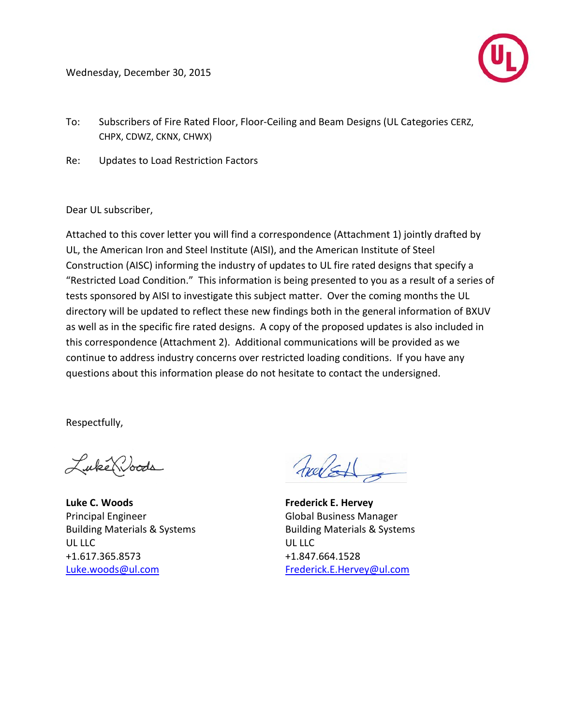Wednesday, December 30, 2015



- To: Subscribers of Fire Rated Floor, Floor-Ceiling and Beam Designs (UL Categories CERZ, CHPX, CDWZ, CKNX, CHWX)
- Re: Updates to Load Restriction Factors

Dear UL subscriber,

Attached to this cover letter you will find a correspondence (Attachment 1) jointly drafted by UL, the American Iron and Steel Institute (AISI), and the American Institute of Steel Construction (AISC) informing the industry of updates to UL fire rated designs that specify a "Restricted Load Condition." This information is being presented to you as a result of a series of tests sponsored by AISI to investigate this subject matter. Over the coming months the UL directory will be updated to reflect these new findings both in the general information of BXUV as well as in the specific fire rated designs. A copy of the proposed updates is also included in this correspondence (Attachment 2). Additional communications will be provided as we continue to address industry concerns over restricted loading conditions. If you have any questions about this information please do not hesitate to contact the undersigned.

Respectfully,

Luke Woods

**Luke C. Woods Frederick E. Hervey** Principal Engineer Global Business Manager UL LLC UL LLC +1.617.365.8573 +1.847.664.1528 [Luke.woods@ul.com](mailto:Luke.woods@ul.com) [Frederick.E.Hervey@ul.com](mailto:Frederick.E.Hervey@ul.com)

halst

Building Materials & Systems Building Materials & Systems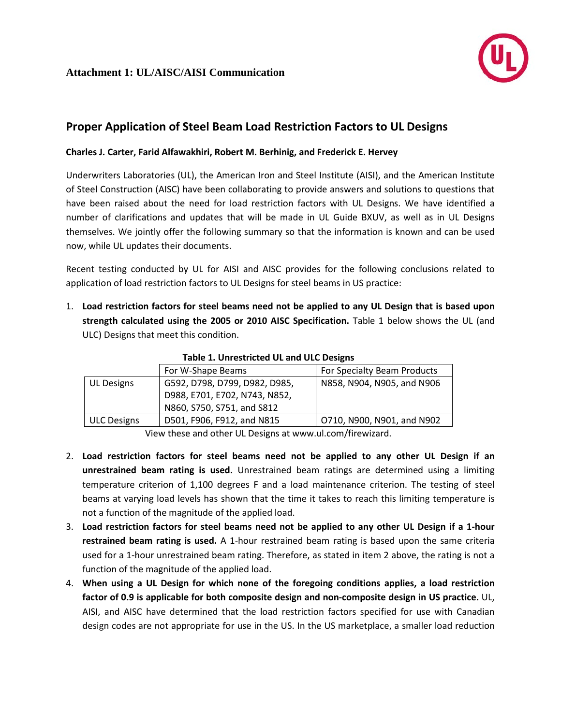

## **Proper Application of Steel Beam Load Restriction Factors to UL Designs**

## **Charles J. Carter, Farid Alfawakhiri, Robert M. Berhinig, and Frederick E. Hervey**

Underwriters Laboratories (UL), the American Iron and Steel Institute (AISI), and the American Institute of Steel Construction (AISC) have been collaborating to provide answers and solutions to questions that have been raised about the need for load restriction factors with UL Designs. We have identified a number of clarifications and updates that will be made in UL Guide BXUV, as well as in UL Designs themselves. We jointly offer the following summary so that the information is known and can be used now, while UL updates their documents.

Recent testing conducted by UL for AISI and AISC provides for the following conclusions related to application of load restriction factors to UL Designs for steel beams in US practice:

1. **Load restriction factors for steel beams need not be applied to any UL Design that is based upon strength calculated using the 2005 or 2010 AISC Specification.** Table 1 below shows the UL (and ULC) Designs that meet this condition.

|                    | For W-Shape Beams             | For Specialty Beam Products |  |
|--------------------|-------------------------------|-----------------------------|--|
| <b>UL Designs</b>  | G592, D798, D799, D982, D985, | N858, N904, N905, and N906  |  |
|                    | D988, E701, E702, N743, N852, |                             |  |
|                    | N860, S750, S751, and S812    |                             |  |
| <b>ULC Designs</b> | D501, F906, F912, and N815    | O710, N900, N901, and N902  |  |

**Table 1. Unrestricted UL and ULC Designs**

View these and other UL Designs at www.ul.com/firewizard.

- 2. **Load restriction factors for steel beams need not be applied to any other UL Design if an unrestrained beam rating is used.** Unrestrained beam ratings are determined using a limiting temperature criterion of 1,100 degrees F and a load maintenance criterion. The testing of steel beams at varying load levels has shown that the time it takes to reach this limiting temperature is not a function of the magnitude of the applied load.
- 3. **Load restriction factors for steel beams need not be applied to any other UL Design if a 1-hour restrained beam rating is used.** A 1-hour restrained beam rating is based upon the same criteria used for a 1-hour unrestrained beam rating. Therefore, as stated in item 2 above, the rating is not a function of the magnitude of the applied load.
- 4. **When using a UL Design for which none of the foregoing conditions applies, a load restriction factor of 0.9 is applicable for both composite design and non-composite design in US practice.** UL, AISI, and AISC have determined that the load restriction factors specified for use with Canadian design codes are not appropriate for use in the US. In the US marketplace, a smaller load reduction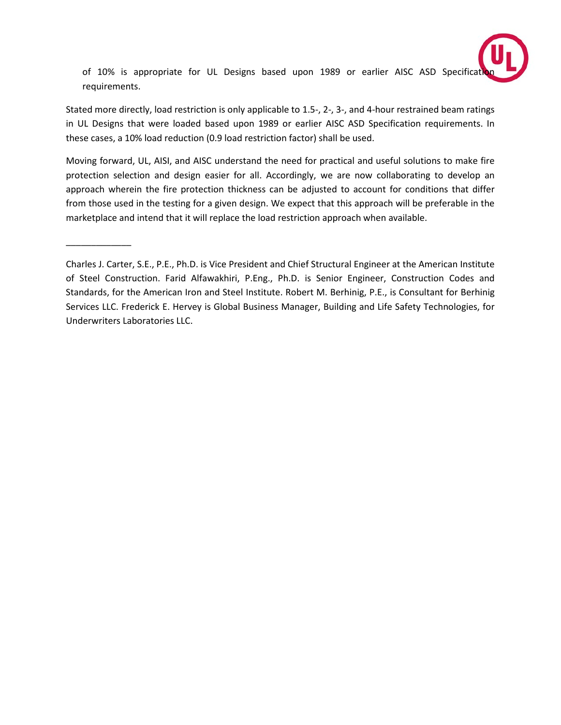

of 10% is appropriate for UL Designs based upon 1989 or earlier AISC ASD Specification requirements.

Stated more directly, load restriction is only applicable to 1.5-, 2-, 3-, and 4-hour restrained beam ratings in UL Designs that were loaded based upon 1989 or earlier AISC ASD Specification requirements. In these cases, a 10% load reduction (0.9 load restriction factor) shall be used.

Moving forward, UL, AISI, and AISC understand the need for practical and useful solutions to make fire protection selection and design easier for all. Accordingly, we are now collaborating to develop an approach wherein the fire protection thickness can be adjusted to account for conditions that differ from those used in the testing for a given design. We expect that this approach will be preferable in the marketplace and intend that it will replace the load restriction approach when available.

\_\_\_\_\_\_\_\_\_\_\_\_\_

Charles J. Carter, S.E., P.E., Ph.D. is Vice President and Chief Structural Engineer at the American Institute of Steel Construction. Farid Alfawakhiri, P.Eng., Ph.D. is Senior Engineer, Construction Codes and Standards, for the American Iron and Steel Institute. Robert M. Berhinig, P.E., is Consultant for Berhinig Services LLC. Frederick E. Hervey is Global Business Manager, Building and Life Safety Technologies, for Underwriters Laboratories LLC.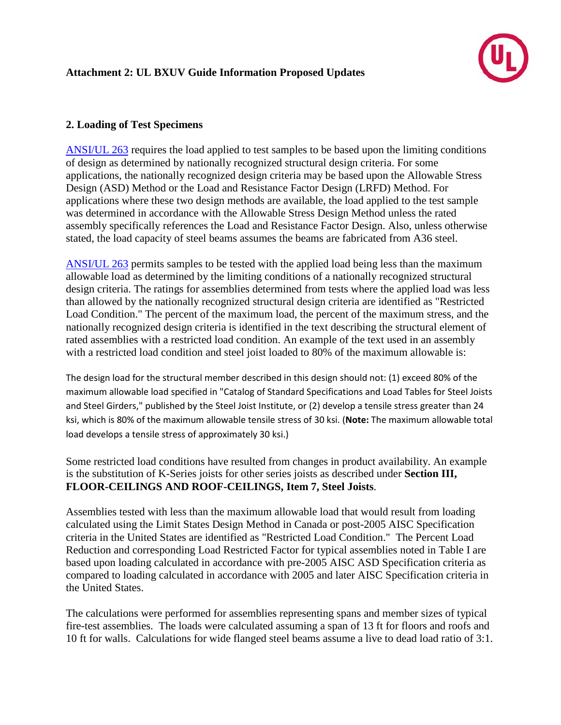

## **2. Loading of Test Specimens**

[ANSI/UL 263](http://ulstandards.ul.com/standard/?id=263) requires the load applied to test samples to be based upon the limiting conditions of design as determined by nationally recognized structural design criteria. For some applications, the nationally recognized design criteria may be based upon the Allowable Stress Design (ASD) Method or the Load and Resistance Factor Design (LRFD) Method. For applications where these two design methods are available, the load applied to the test sample was determined in accordance with the Allowable Stress Design Method unless the rated assembly specifically references the Load and Resistance Factor Design. Also, unless otherwise stated, the load capacity of steel beams assumes the beams are fabricated from A36 steel.

[ANSI/UL 263](http://ulstandards.ul.com/standard/?id=263) permits samples to be tested with the applied load being less than the maximum allowable load as determined by the limiting conditions of a nationally recognized structural design criteria. The ratings for assemblies determined from tests where the applied load was less than allowed by the nationally recognized structural design criteria are identified as "Restricted Load Condition." The percent of the maximum load, the percent of the maximum stress, and the nationally recognized design criteria is identified in the text describing the structural element of rated assemblies with a restricted load condition. An example of the text used in an assembly with a restricted load condition and steel joist loaded to 80% of the maximum allowable is:

The design load for the structural member described in this design should not: (1) exceed 80% of the maximum allowable load specified in "Catalog of Standard Specifications and Load Tables for Steel Joists and Steel Girders," published by the Steel Joist Institute, or (2) develop a tensile stress greater than 24 ksi, which is 80% of the maximum allowable tensile stress of 30 ksi. (**Note:** The maximum allowable total load develops a tensile stress of approximately 30 ksi.)

Some restricted load conditions have resulted from changes in product availability. An example is the substitution of K-Series joists for other series joists as described under **Section III, FLOOR-CEILINGS AND ROOF-CEILINGS, Item 7, Steel Joists**.

Assemblies tested with less than the maximum allowable load that would result from loading calculated using the Limit States Design Method in Canada or post-2005 AISC Specification criteria in the United States are identified as "Restricted Load Condition." The Percent Load Reduction and corresponding Load Restricted Factor for typical assemblies noted in Table I are based upon loading calculated in accordance with pre-2005 AISC ASD Specification criteria as compared to loading calculated in accordance with 2005 and later AISC Specification criteria in the United States.

The calculations were performed for assemblies representing spans and member sizes of typical fire-test assemblies. The loads were calculated assuming a span of 13 ft for floors and roofs and 10 ft for walls. Calculations for wide flanged steel beams assume a live to dead load ratio of 3:1.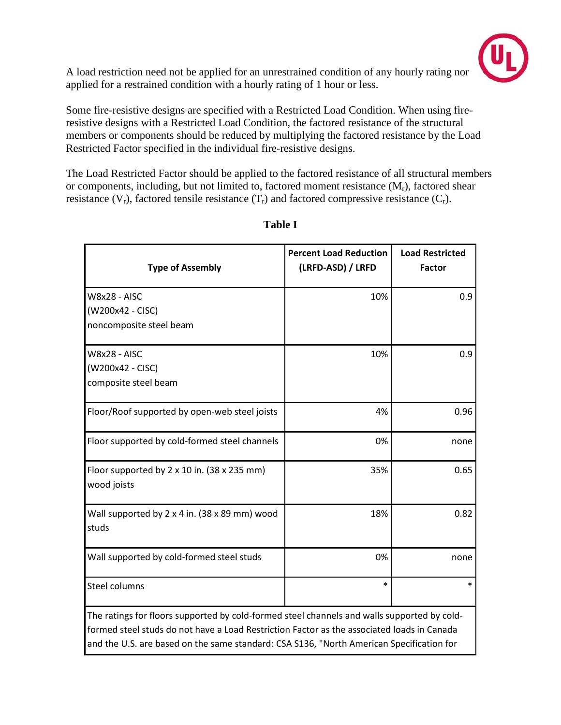

A load restriction need not be applied for an unrestrained condition of any hourly rating nor applied for a restrained condition with a hourly rating of 1 hour or less.

Some fire-resistive designs are specified with a Restricted Load Condition. When using fireresistive designs with a Restricted Load Condition, the factored resistance of the structural members or components should be reduced by multiplying the factored resistance by the Load Restricted Factor specified in the individual fire-resistive designs.

The Load Restricted Factor should be applied to the factored resistance of all structural members or components, including, but not limited to, factored moment resistance  $(M_r)$ , factored shear resistance  $(V_r)$ , factored tensile resistance  $(T_r)$  and factored compressive resistance  $(C_r)$ .

| <b>Type of Assembly</b>                                                                                                                                                                                                                                                               | <b>Percent Load Reduction</b><br>(LRFD-ASD) / LRFD | <b>Load Restricted</b><br><b>Factor</b> |
|---------------------------------------------------------------------------------------------------------------------------------------------------------------------------------------------------------------------------------------------------------------------------------------|----------------------------------------------------|-----------------------------------------|
| <b>W8x28 - AISC</b><br>(W200x42 - CISC)<br>noncomposite steel beam                                                                                                                                                                                                                    | 10%                                                | 0.9                                     |
| <b>W8x28 - AISC</b><br>(W200x42 - CISC)<br>composite steel beam                                                                                                                                                                                                                       | 10%                                                | 0.9                                     |
| Floor/Roof supported by open-web steel joists                                                                                                                                                                                                                                         | 4%                                                 | 0.96                                    |
| Floor supported by cold-formed steel channels                                                                                                                                                                                                                                         | 0%                                                 | none                                    |
| Floor supported by 2 x 10 in. (38 x 235 mm)<br>wood joists                                                                                                                                                                                                                            | 35%                                                | 0.65                                    |
| Wall supported by $2 \times 4$ in. (38 $\times$ 89 mm) wood<br>studs                                                                                                                                                                                                                  | 18%                                                | 0.82                                    |
| Wall supported by cold-formed steel studs                                                                                                                                                                                                                                             | 0%                                                 | none                                    |
| <b>Steel columns</b>                                                                                                                                                                                                                                                                  | $\ast$                                             | $\ast$                                  |
| The ratings for floors supported by cold-formed steel channels and walls supported by cold-<br>formed steel studs do not have a Load Restriction Factor as the associated loads in Canada<br>and the U.S. are based on the same standard: CSA S136, "North American Specification for |                                                    |                                         |

## **Table I**